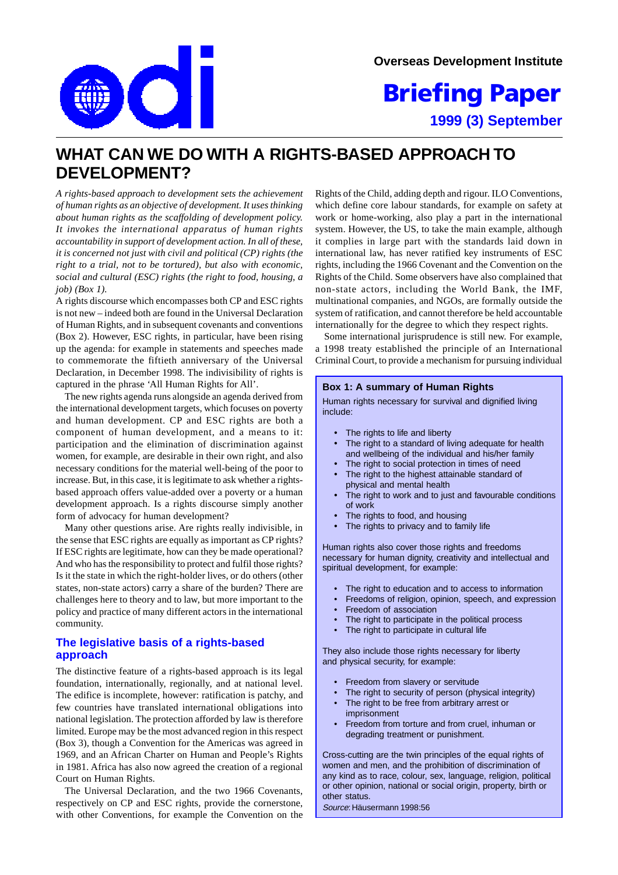$\mathbf O$ 

**Overseas Development Institute**

**1999 (3) September Briefing Paper**

# **WHAT CAN WE DO WITH A RIGHTS-BASED APPROACH TO DEVELOPMENT?**

*A rights-based approach to development sets the achievement of human rights as an objective of development. It uses thinking about human rights as the scaffolding of development policy. It invokes the international apparatus of human rights accountability in support of development action. In all of these, it is concerned not just with civil and political (CP) rights (the right to a trial, not to be tortured), but also with economic, social and cultural (ESC) rights (the right to food, housing, a job) (Box 1).*

A rights discourse which encompasses both CP and ESC rights is not new – indeed both are found in the Universal Declaration of Human Rights, and in subsequent covenants and conventions (Box 2). However, ESC rights, in particular, have been rising up the agenda: for example in statements and speeches made to commemorate the fiftieth anniversary of the Universal Declaration, in December 1998. The indivisibility of rights is captured in the phrase 'All Human Rights for All'.

The new rights agenda runs alongside an agenda derived from the international development targets, which focuses on poverty and human development. CP and ESC rights are both a component of human development, and a means to it: participation and the elimination of discrimination against women, for example, are desirable in their own right, and also necessary conditions for the material well-being of the poor to increase. But, in this case, it is legitimate to ask whether a rightsbased approach offers value-added over a poverty or a human development approach. Is a rights discourse simply another form of advocacy for human development?

Many other questions arise. Are rights really indivisible, in the sense that ESC rights are equally as important as CP rights? If ESC rights are legitimate, how can they be made operational? And who has the responsibility to protect and fulfil those rights? Is it the state in which the right-holder lives, or do others (other states, non-state actors) carry a share of the burden? There are challenges here to theory and to law, but more important to the policy and practice of many different actors in the international community.

# **The legislative basis of a rights-based approach**

The distinctive feature of a rights-based approach is its legal foundation, internationally, regionally, and at national level. The edifice is incomplete, however: ratification is patchy, and few countries have translated international obligations into national legislation. The protection afforded by law is therefore limited. Europe may be the most advanced region in this respect (Box 3), though a Convention for the Americas was agreed in 1969, and an African Charter on Human and People's Rights in 1981. Africa has also now agreed the creation of a regional Court on Human Rights.

The Universal Declaration, and the two 1966 Covenants, respectively on CP and ESC rights, provide the cornerstone, with other Conventions, for example the Convention on the Rights of the Child, adding depth and rigour. ILO Conventions, which define core labour standards, for example on safety at work or home-working, also play a part in the international system. However, the US, to take the main example, although it complies in large part with the standards laid down in international law, has never ratified key instruments of ESC rights, including the 1966 Covenant and the Convention on the Rights of the Child. Some observers have also complained that non-state actors, including the World Bank, the IMF, multinational companies, and NGOs, are formally outside the system of ratification, and cannot therefore be held accountable internationally for the degree to which they respect rights.

Some international jurisprudence is still new. For example, a 1998 treaty established the principle of an International Criminal Court, to provide a mechanism for pursuing individual

#### **Box 1: A summary of Human Rights**

Human rights necessary for survival and dignified living include:

- The rights to life and liberty
- The right to a standard of living adequate for health and wellbeing of the individual and his/her family
- The right to social protection in times of need
- The right to the highest attainable standard of physical and mental health
- The right to work and to just and favourable conditions of work
- The rights to food, and housing
- The rights to privacy and to family life

Human rights also cover those rights and freedoms necessary for human dignity, creativity and intellectual and spiritual development, for example:

- The right to education and to access to information
- Freedoms of religion, opinion, speech, and expression
- Freedom of association
- The right to participate in the political process
- The right to participate in cultural life

They also include those rights necessary for liberty and physical security, for example:

- Freedom from slavery or servitude
- The right to security of person (physical integrity)
- The right to be free from arbitrary arrest or imprisonment
- Freedom from torture and from cruel, inhuman or degrading treatment or punishment.

Cross-cutting are the twin principles of the equal rights of women and men, and the prohibition of discrimination of any kind as to race, colour, sex, language, religion, political or other opinion, national or social origin, property, birth or other status.

Source: Häusermann 1998:56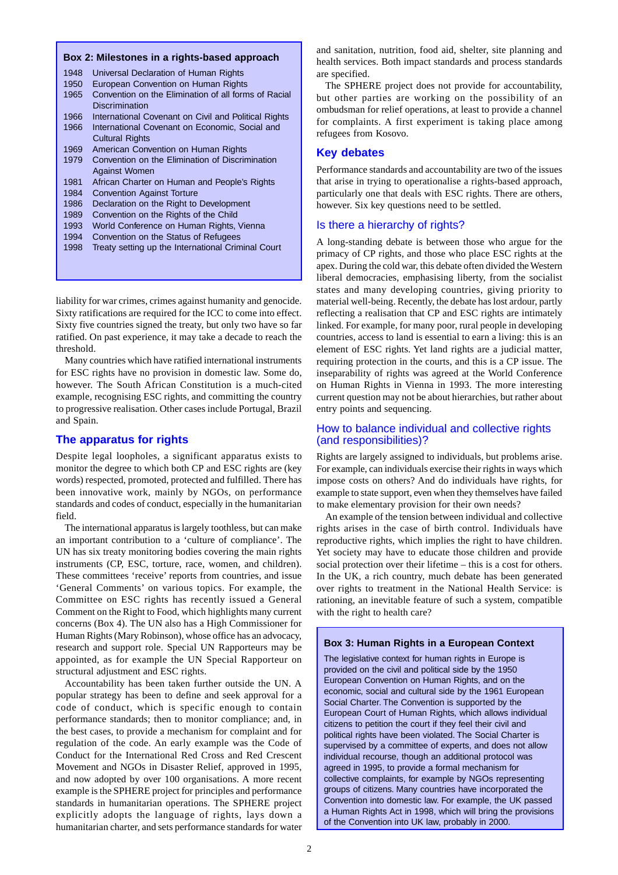#### **Box 2: Milestones in a rights-based approach**

| 1948 |                                                      |
|------|------------------------------------------------------|
|      | Universal Declaration of Human Rights                |
| 1950 | European Convention on Human Rights                  |
| 1965 | Convention on the Elimination of all forms of Racial |
|      | Discrimination                                       |
| 1966 | International Covenant on Civil and Political Rights |
| 1966 | International Covenant on Economic, Social and       |
|      | <b>Cultural Rights</b>                               |
| 1969 | American Convention on Human Rights                  |
| 1979 | Convention on the Elimination of Discrimination      |
|      | <b>Against Women</b>                                 |
| 1981 | African Charter on Human and People's Rights         |
| 1984 | <b>Convention Against Torture</b>                    |
| 1986 | Declaration on the Right to Development              |
| 1989 | Convention on the Rights of the Child                |
| 1993 | World Conference on Human Rights, Vienna             |
| 1994 | Convention on the Status of Refugees                 |
| 1998 | Treaty setting up the International Criminal Court   |
|      |                                                      |
|      |                                                      |

liability for war crimes, crimes against humanity and genocide. Sixty ratifications are required for the ICC to come into effect. Sixty five countries signed the treaty, but only two have so far ratified. On past experience, it may take a decade to reach the threshold.

Many countries which have ratified international instruments for ESC rights have no provision in domestic law. Some do, however. The South African Constitution is a much-cited example, recognising ESC rights, and committing the country to progressive realisation. Other cases include Portugal, Brazil and Spain.

## **The apparatus for rights**

Despite legal loopholes, a significant apparatus exists to monitor the degree to which both CP and ESC rights are (key words) respected, promoted, protected and fulfilled. There has been innovative work, mainly by NGOs, on performance standards and codes of conduct, especially in the humanitarian field.

The international apparatus is largely toothless, but can make an important contribution to a 'culture of compliance'. The UN has six treaty monitoring bodies covering the main rights instruments (CP, ESC, torture, race, women, and children). These committees 'receive' reports from countries, and issue 'General Comments' on various topics. For example, the Committee on ESC rights has recently issued a General Comment on the Right to Food, which highlights many current concerns (Box 4). The UN also has a High Commissioner for Human Rights (Mary Robinson), whose office has an advocacy, research and support role. Special UN Rapporteurs may be appointed, as for example the UN Special Rapporteur on structural adjustment and ESC rights.

Accountability has been taken further outside the UN. A popular strategy has been to define and seek approval for a code of conduct, which is specific enough to contain performance standards; then to monitor compliance; and, in the best cases, to provide a mechanism for complaint and for regulation of the code. An early example was the Code of Conduct for the International Red Cross and Red Crescent Movement and NGOs in Disaster Relief, approved in 1995, and now adopted by over 100 organisations. A more recent example is the SPHERE project for principles and performance standards in humanitarian operations. The SPHERE project explicitly adopts the language of rights, lays down a humanitarian charter, and sets performance standards for water

and sanitation, nutrition, food aid, shelter, site planning and health services. Both impact standards and process standards are specified.

The SPHERE project does not provide for accountability, but other parties are working on the possibility of an ombudsman for relief operations, at least to provide a channel for complaints. A first experiment is taking place among refugees from Kosovo.

#### **Key debates**

Performance standards and accountability are two of the issues that arise in trying to operationalise a rights-based approach, particularly one that deals with ESC rights. There are others, however. Six key questions need to be settled.

#### Is there a hierarchy of rights?

A long-standing debate is between those who argue for the primacy of CP rights, and those who place ESC rights at the apex. During the cold war, this debate often divided the Western liberal democracies, emphasising liberty, from the socialist states and many developing countries, giving priority to material well-being. Recently, the debate has lost ardour, partly reflecting a realisation that CP and ESC rights are intimately linked. For example, for many poor, rural people in developing countries, access to land is essential to earn a living: this is an element of ESC rights. Yet land rights are a judicial matter, requiring protection in the courts, and this is a CP issue. The inseparability of rights was agreed at the World Conference on Human Rights in Vienna in 1993. The more interesting current question may not be about hierarchies, but rather about entry points and sequencing.

## How to balance individual and collective rights (and responsibilities)?

Rights are largely assigned to individuals, but problems arise. For example, can individuals exercise their rights in ways which impose costs on others? And do individuals have rights, for example to state support, even when they themselves have failed to make elementary provision for their own needs?

An example of the tension between individual and collective rights arises in the case of birth control. Individuals have reproductive rights, which implies the right to have children. Yet society may have to educate those children and provide social protection over their lifetime – this is a cost for others. In the UK, a rich country, much debate has been generated over rights to treatment in the National Health Service: is rationing, an inevitable feature of such a system, compatible with the right to health care?

#### **Box 3: Human Rights in a European Context**

The legislative context for human rights in Europe is provided on the civil and political side by the 1950 European Convention on Human Rights, and on the economic, social and cultural side by the 1961 European Social Charter. The Convention is supported by the European Court of Human Rights, which allows individual citizens to petition the court if they feel their civil and political rights have been violated. The Social Charter is supervised by a committee of experts, and does not allow individual recourse, though an additional protocol was agreed in 1995, to provide a formal mechanism for collective complaints, for example by NGOs representing groups of citizens. Many countries have incorporated the Convention into domestic law. For example, the UK passed a Human Rights Act in 1998, which will bring the provisions of the Convention into UK law, probably in 2000.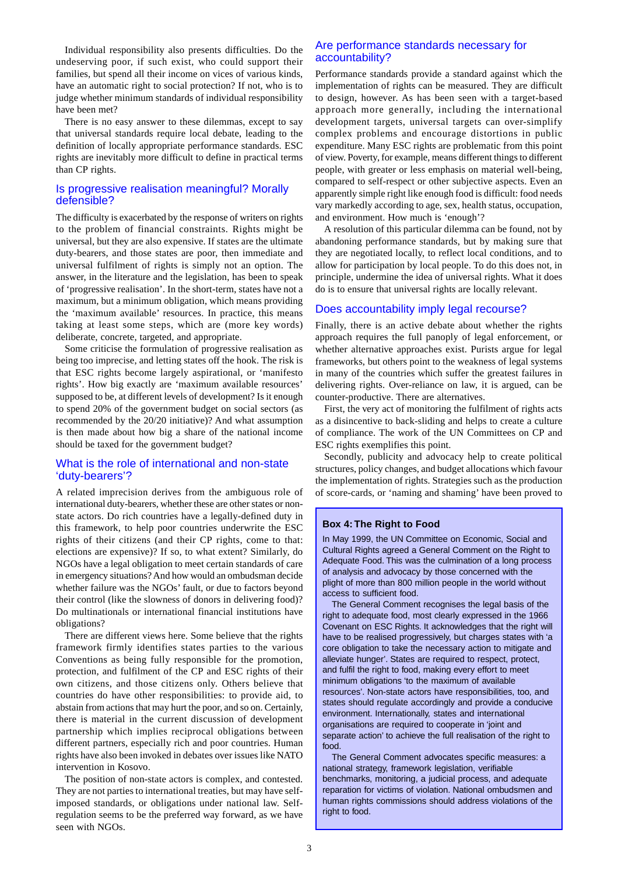Individual responsibility also presents difficulties. Do the undeserving poor, if such exist, who could support their families, but spend all their income on vices of various kinds, have an automatic right to social protection? If not, who is to judge whether minimum standards of individual responsibility have been met?

There is no easy answer to these dilemmas, except to say that universal standards require local debate, leading to the definition of locally appropriate performance standards. ESC rights are inevitably more difficult to define in practical terms than CP rights.

## Is progressive realisation meaningful? Morally defensible?

The difficulty is exacerbated by the response of writers on rights to the problem of financial constraints. Rights might be universal, but they are also expensive. If states are the ultimate duty-bearers, and those states are poor, then immediate and universal fulfilment of rights is simply not an option. The answer, in the literature and the legislation, has been to speak of 'progressive realisation'. In the short-term, states have not a maximum, but a minimum obligation, which means providing the 'maximum available' resources. In practice, this means taking at least some steps, which are (more key words) deliberate, concrete, targeted, and appropriate.

Some criticise the formulation of progressive realisation as being too imprecise, and letting states off the hook. The risk is that ESC rights become largely aspirational, or 'manifesto rights'. How big exactly are 'maximum available resources' supposed to be, at different levels of development? Is it enough to spend 20% of the government budget on social sectors (as recommended by the 20/20 initiative)? And what assumption is then made about how big a share of the national income should be taxed for the government budget?

## What is the role of international and non-state 'duty-bearers'?

A related imprecision derives from the ambiguous role of international duty-bearers, whether these are other states or nonstate actors. Do rich countries have a legally-defined duty in this framework, to help poor countries underwrite the ESC rights of their citizens (and their CP rights, come to that: elections are expensive)? If so, to what extent? Similarly, do NGOs have a legal obligation to meet certain standards of care in emergency situations? And how would an ombudsman decide whether failure was the NGOs' fault, or due to factors beyond their control (like the slowness of donors in delivering food)? Do multinationals or international financial institutions have obligations?

There are different views here. Some believe that the rights framework firmly identifies states parties to the various Conventions as being fully responsible for the promotion, protection, and fulfilment of the CP and ESC rights of their own citizens, and those citizens only. Others believe that countries do have other responsibilities: to provide aid, to abstain from actions that may hurt the poor, and so on. Certainly, there is material in the current discussion of development partnership which implies reciprocal obligations between different partners, especially rich and poor countries. Human rights have also been invoked in debates over issues like NATO intervention in Kosovo.

The position of non-state actors is complex, and contested. They are not parties to international treaties, but may have selfimposed standards, or obligations under national law. Selfregulation seems to be the preferred way forward, as we have seen with NGOs.

## Are performance standards necessary for accountability?

Performance standards provide a standard against which the implementation of rights can be measured. They are difficult to design, however. As has been seen with a target-based approach more generally, including the international development targets, universal targets can over-simplify complex problems and encourage distortions in public expenditure. Many ESC rights are problematic from this point of view. Poverty, for example, means different things to different people, with greater or less emphasis on material well-being, compared to self-respect or other subjective aspects. Even an apparently simple right like enough food is difficult: food needs vary markedly according to age, sex, health status, occupation, and environment. How much is 'enough'?

A resolution of this particular dilemma can be found, not by abandoning performance standards, but by making sure that they are negotiated locally, to reflect local conditions, and to allow for participation by local people. To do this does not, in principle, undermine the idea of universal rights. What it does do is to ensure that universal rights are locally relevant.

## Does accountability imply legal recourse?

Finally, there is an active debate about whether the rights approach requires the full panoply of legal enforcement, or whether alternative approaches exist. Purists argue for legal frameworks, but others point to the weakness of legal systems in many of the countries which suffer the greatest failures in delivering rights. Over-reliance on law, it is argued, can be counter-productive. There are alternatives.

First, the very act of monitoring the fulfilment of rights acts as a disincentive to back-sliding and helps to create a culture of compliance. The work of the UN Committees on CP and ESC rights exemplifies this point.

Secondly, publicity and advocacy help to create political structures, policy changes, and budget allocations which favour the implementation of rights. Strategies such as the production of score-cards, or 'naming and shaming' have been proved to

#### **Box 4: The Right to Food**

In May 1999, the UN Committee on Economic, Social and Cultural Rights agreed a General Comment on the Right to Adequate Food. This was the culmination of a long process of analysis and advocacy by those concerned with the plight of more than 800 million people in the world without access to sufficient food.

The General Comment recognises the legal basis of the right to adequate food, most clearly expressed in the 1966 Covenant on ESC Rights. It acknowledges that the right will have to be realised progressively, but charges states with 'a core obligation to take the necessary action to mitigate and alleviate hunger'. States are required to respect, protect, and fulfil the right to food, making every effort to meet minimum obligations 'to the maximum of available resources'. Non-state actors have responsibilities, too, and states should regulate accordingly and provide a conducive environment. Internationally, states and international organisations are required to cooperate in 'joint and separate action' to achieve the full realisation of the right to food.

The General Comment advocates specific measures: a national strategy, framework legislation, verifiable benchmarks, monitoring, a judicial process, and adequate reparation for victims of violation. National ombudsmen and human rights commissions should address violations of the right to food.